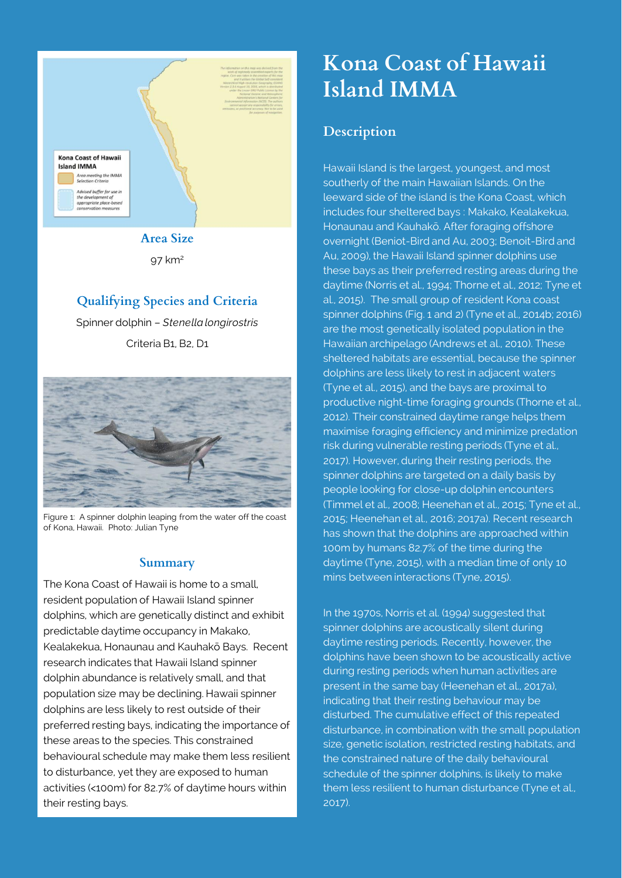

97 km<sup>2</sup>

## **Qualifying Species and Criteria**

Spinner dolphin – *Stenella longirostris* Criteria B1, B2, D1



Figure 1: A spinner dolphin leaping from the water off the coast of Kona, Hawaii. Photo: Julian Tyne

#### **Summary**

The Kona Coast of Hawaii is home to a small, resident population of Hawaii Island spinner dolphins, which are genetically distinct and exhibit predictable daytime occupancy in Makako, Kealakekua, Honaunau and Kauhakō Bays. Recent research indicates that Hawaii Island spinner dolphin abundance is relatively small, and that population size may be declining. Hawaii spinner dolphins are less likely to rest outside of their preferred resting bays, indicating the importance of these areas to the species. This constrained behavioural schedule may make them less resilient to disturbance, yet they are exposed to human activities (<100m) for 82.7% of daytime hours within their resting bays.

# **Kona Coast of Hawaii Island IMMA**

# **Description**

Hawaii Island is the largest, youngest, and most southerly of the main Hawaiian Islands. On the leeward side of the island is the Kona Coast, which includes four sheltered bays : Makako, Kealakekua, Honaunau and Kauhakō. After foraging offshore overnight (Beniot-Bird and Au, 2003; Benoit-Bird and Au, 2009), the Hawaii Island spinner dolphins use these bays as their preferred resting areas during the daytime (Norris et al., 1994; Thorne et al., 2012; Tyne et al., 2015). The small group of resident Kona coast spinner dolphins (Fig. 1 and 2) (Tyne et al., 2014b; 2016) are the most genetically isolated population in the Hawaiian archipelago (Andrews et al., 2010). These sheltered habitats are essential, because the spinner dolphins are less likely to rest in adjacent waters (Tyne et al., 2015), and the bays are proximal to productive night-time foraging grounds (Thorne et al., 2012). Their constrained daytime range helps them maximise foraging efficiency and minimize predation risk during vulnerable resting periods (Tyne et al., 2017). However, during their resting periods, the spinner dolphins are targeted on a daily basis by people looking for close-up dolphin encounters (Timmel et al., 2008; Heenehan et al., 2015; Tyne et al., 2015; Heenehan et al., 2016; 2017a). Recent research has shown that the dolphins are approached within 100m by humans 82.7% of the time during the daytime (Tyne, 2015), with a median time of only 10 mins between interactions (Tyne, 2015).

In the 1970s, Norris et al. (1994) suggested that spinner dolphins are acoustically silent during daytime resting periods. Recently, however, the dolphins have been shown to be acoustically active during resting periods when human activities are present in the same bay (Heenehan et al., 2017a), indicating that their resting behaviour may be disturbed. The cumulative effect of this repeated disturbance, in combination with the small population size, genetic isolation, restricted resting habitats, and the constrained nature of the daily behavioural schedule of the spinner dolphins, is likely to make them less resilient to human disturbance (Tyne et al., 2017).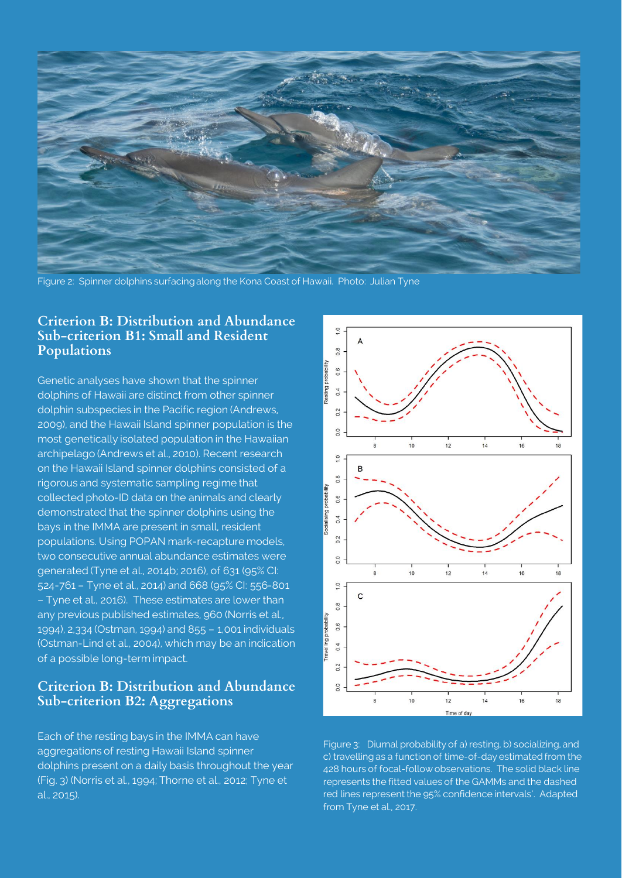

Figure 2: Spinner dolphins surfacing along the Kona Coast of Hawaii. Photo: Julian Tyne

#### **Criterion B: Distribution and Abundance Sub-criterion B1: Small and Resident Populations**

Genetic analyses have shown that the spinner dolphins of Hawaii are distinct from other spinner dolphin subspecies in the Pacific region (Andrews, 2009), and the Hawaii Island spinner population is the most genetically isolated population in the Hawaiian archipelago (Andrews et al., 2010). Recent research on the Hawaii Island spinner dolphins consisted of a rigorous and systematic sampling regime that collected photo-ID data on the animals and clearly demonstrated that the spinner dolphins using the bays in the IMMA are present in small, resident populations. Using POPAN mark-recapture models, two consecutive annual abundance estimates were generated (Tyne et al., 2014b; 2016), of 631 (95% CI: 524-761 – Tyne et al., 2014) and 668 (95% CI: 556-801 – Tyne et al., 2016). These estimates are lower than any previous published estimates, 960 (Norris et al., 1994), 2,334 (Ostman, 1994) and 855 – 1,001 individuals (Ostman-Lind et al., 2004), which may be an indication of a possible long-term impact.

#### **Criterion B: Distribution and Abundance Sub-criterion B2: Aggregations**

Each of the resting bays in the IMMA can have aggregations of resting Hawaii Island spinner dolphins present on a daily basis throughout the year (Fig. 3) (Norris et al., 1994; Thorne et al., 2012; Tyne et al., 2015).



Figure 3: Diurnal probability of a) resting, b) socializing, and c) travelling as a function of time-of-day estimated from the 428 hours of focal-follow observations. The solid black line represents the fitted values of the GAMMs and the dashed red lines represent the 95% confidence intervals'. Adapted from Tyne et al., 2017.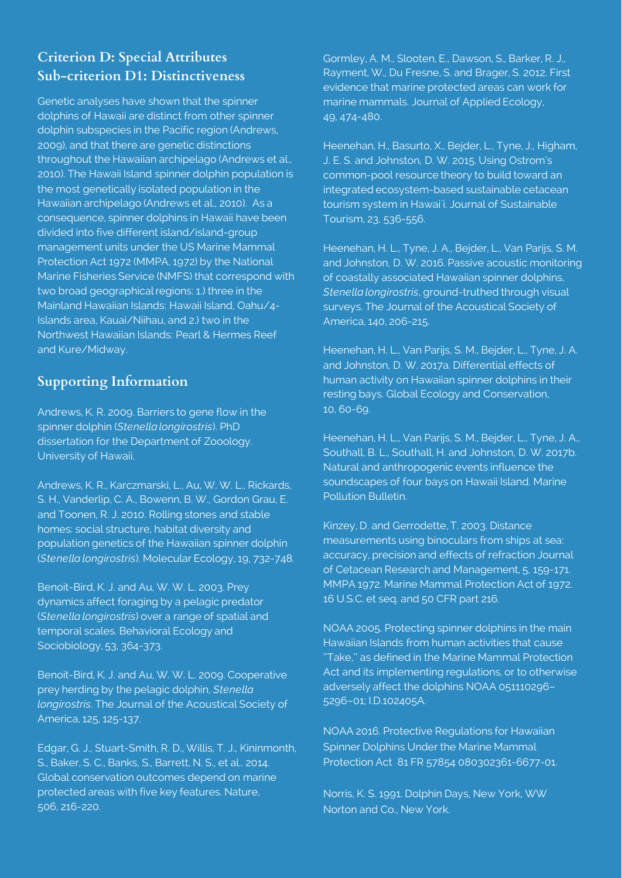## **Criterion D: Special Attributes Sub-criterion D1: Distinctiveness**

Genetic analyses have shown that the spinner dolphins of Hawaii are distinct from other spinner dolphin subspecies in the Pacific region (Andrews, 2009), and that there are genetic distinctions throughout the Hawaiian archipelago (Andrews et al., 2010). The Hawaii Island spinner dolphin population is the most genetically isolated population in the Hawaiian archipelago (Andrews et al., 2010). As a consequence, spinner dolphins in Hawaii have been divided into five different island/island-group management units under the US Marine Mammal Protection Act 1972 (MMPA, 1972) by the National Marine Fisheries Service (NMFS) that correspond with two broad geographical regions: 1.) three in the Mainland Hawaiian Islands: Hawaii Island, Oahu/4- Islands area, Kauai/Niihau, and 2.) two in the Northwest Hawaiian Islands: Pearl & Hermes Reef and Kure/Midway.

### **Supporting Information**

Andrews, K. R. 2009. Barriers to gene flow in the spinner dolphin (*Stenella longirostris*). PhD dissertation for the Department of Zooology. University of Hawaii.

Andrews, K. R., Karczmarski, L., Au, W. W. L., Rickards, S. H., Vanderlip, C. A., Bowenn, B. W., Gordon Grau, E. and Toonen, R. J. 2010. Rolling stones and stable homes: social structure, habitat diversity and population genetics of the Hawaiian spinner dolphin (*Stenella longirostris*). Molecular Ecology, 19, 732-748.

Benoit-Bird, K. J. and Au, W. W. L. 2003. Prey dynamics affect foraging by a pelagic predator (*Stenella longirostris*) over a range of spatial and temporal scales. Behavioral Ecology and Sociobiology, 53, 364-373.

Benoit-Bird, K. J. and Au, W. W. L. 2009. Cooperative prey herding by the pelagic dolphin, *Stenella longirostris*. The Journal of the Acoustical Society of America, 125, 125-137.

Edgar, G. J., Stuart-Smith, R. D., Willis, T. J., Kininmonth, S., Baker, S. C., Banks, S., Barrett, N. S., et al.. 2014. Global conservation outcomes depend on marine protected areas with five key features. Nature, 506, 216-220.

Gormley, A. M., Slooten, E., Dawson, S., Barker, R. J., Rayment, W., Du Fresne, S. and Brager, S. 2012. First evidence that marine protected areas can work for marine mammals. Journal of Applied Ecology, 49, 474-480.

Heenehan, H., Basurto, X., Bejder, L., Tyne, J., Higham, J. E. S. and Johnston, D. W. 2015. Using Ostrom's common-pool resource theory to build toward an integrated ecosystem-based sustainable cetacean tourism system in Hawai'i. Journal of Sustainable Tourism, 23, 536-556.

Heenehan, H. L., Tyne, J. A., Bejder, L., Van Parijs, S. M. and Johnston, D. W. 2016. Passive acoustic monitoring of coastally associated Hawaiian spinner dolphins, *Stenella longirostris*, ground-truthed through visual surveys. The Journal of the Acoustical Society of America, 140, 206-215.

Heenehan, H. L., Van Parijs, S. M., Bejder, L., Tyne, J. A. and Johnston, D. W. 2017a. Differential effects of human activity on Hawaiian spinner dolphins in their resting bays. Global Ecology and Conservation, 10, 60-69.

Heenehan, H. L., Van Parijs, S. M., Bejder, L., Tyne, J. A., Southall, B. L., Southall, H. and Johnston, D. W. 2017b. Natural and anthropogenic events influence the soundscapes of four bays on Hawaii Island. Marine Pollution Bulletin.

Kinzey, D. and Gerrodette, T. 2003. Distance measurements using binoculars from ships at sea: accuracy, precision and effects of refraction Journal of Cetacean Research and Management, 5, 159-171. MMPA 1972. Marine Mammal Protection Act of 1972. 16 U.S.C. et seq. and 50 CFR part 216.

NOAA 2005. Protecting spinner dolphins in the main Hawaiian Islands from human activities that cause ''Take,'' as defined in the Marine Mammal Protection Act and its implementing regulations, or to otherwise adversely affect the dolphins NOAA 051110296– 5296–01; I.D.102405A.

NOAA 2016. Protective Regulations for Hawaiian Spinner Dolphins Under the Marine Mammal Protection Act 81 FR 57854 080302361-6677-01.

Norris, K. S. 1991. Dolphin Days, New York, WW Norton and Co., New York.